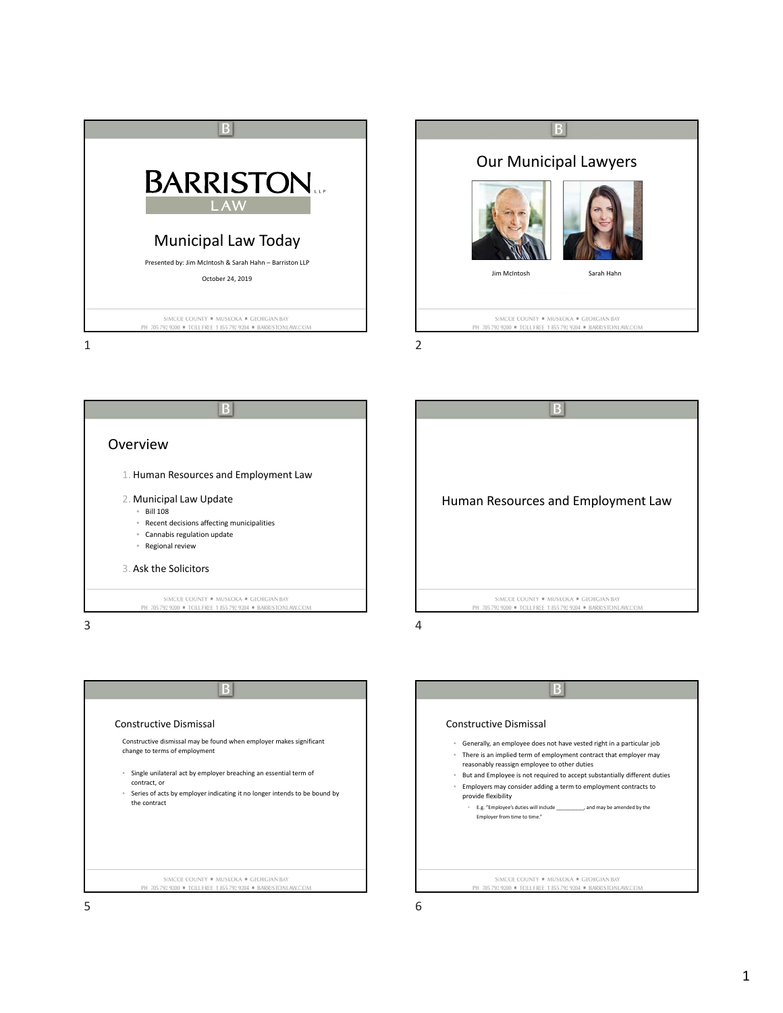



B Overview 1. Human Resources and Employment Law 2. Municipal Law Update • Bill 108 • Recent decisions affecting municipalities • Cannabis regulation update • Regional review 3. Ask the Solicitors SIMCOE COUNTY . MUSKOKA . GEORGIAN BAY PH 705 792 9200 · TOLL FREE 1 855 792 9204 · BARRISTONLAW  $3 \overline{4}$ 





Constructive Dismissal • Generally, an employee does not have vested right in a particular job • There is an implied term of employment contract that employer may reasonably reassign employee to other duties • But and Employee is not required to accept substantially different duties • Employers may consider adding a term to employment contracts to provide flexibility • E.g. "Employee's duties will include \_\_\_\_\_\_\_\_\_\_, and may be amended by the Employer from time to time." SIMCOE COUNTY . MUSKOKA . GEORGIAN BAY PH 705 792 9200 = TOLL FREE 1 855 792 9204 = BARRISTONLAW.COM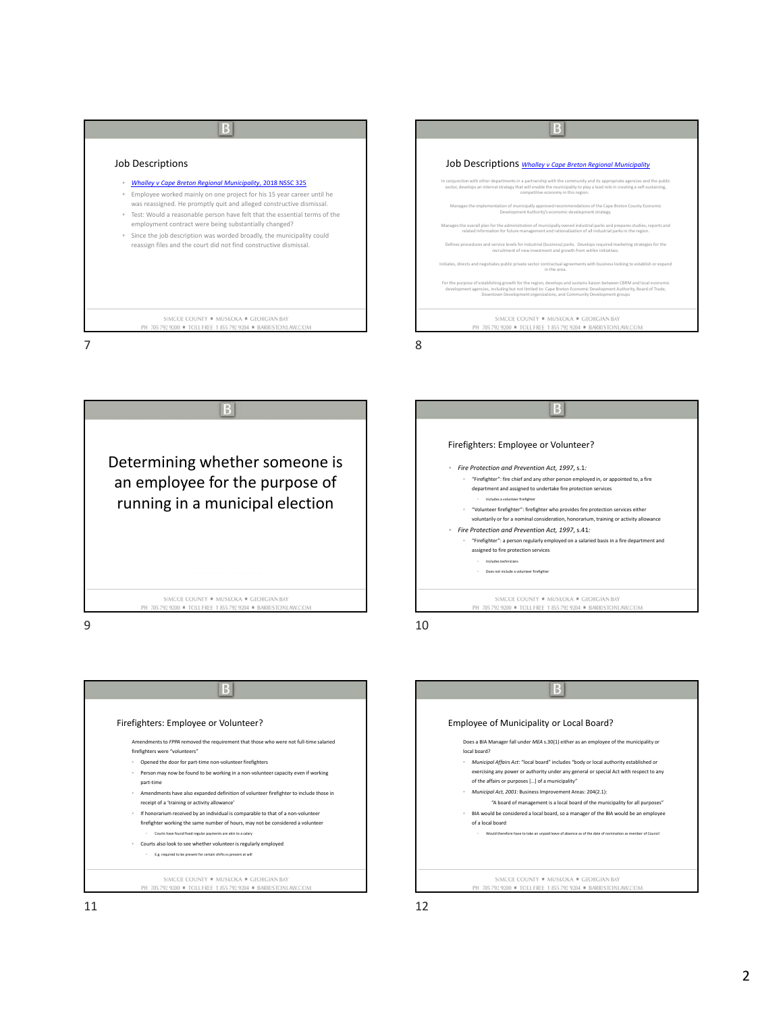| Job Descriptions                                                                                                                                                                                                                                                                                                                                                                                                                                                                                           | Job Descriptions Whalley v Cape Breton Regional Municipality                                                                                                                                                                                                                                                                                                                                                                                                                                                                                                                                                                                                                                                                                                                                                                                                                                                                                                                                                                                                                                                                                                                                                                                                                                                                                                    |
|------------------------------------------------------------------------------------------------------------------------------------------------------------------------------------------------------------------------------------------------------------------------------------------------------------------------------------------------------------------------------------------------------------------------------------------------------------------------------------------------------------|-----------------------------------------------------------------------------------------------------------------------------------------------------------------------------------------------------------------------------------------------------------------------------------------------------------------------------------------------------------------------------------------------------------------------------------------------------------------------------------------------------------------------------------------------------------------------------------------------------------------------------------------------------------------------------------------------------------------------------------------------------------------------------------------------------------------------------------------------------------------------------------------------------------------------------------------------------------------------------------------------------------------------------------------------------------------------------------------------------------------------------------------------------------------------------------------------------------------------------------------------------------------------------------------------------------------------------------------------------------------|
| <b>Whalley v Cape Breton Regional Municipality, 2018 NSSC 325</b><br>Employee worked mainly on one project for his 15 year career until he<br>was reassigned. He promptly quit and alleged constructive dismissal.<br>Test: Would a reasonable person have felt that the essential terms of the<br>employment contract were being substantially changed?<br>Since the job description was worded broadly, the municipality could<br>۰<br>reassign files and the court did not find constructive dismissal. | In conjunction with other departments in a partnership with the community and its appropriate agencies and the public<br>sector, develops an internal strategy that will enable the municipality to play a lead role in creating a self-sustaining,<br>competitive economy in this region.<br>Manages the implementation of municipally approved recommendations of the Cape Breton County Economic<br>Development Authority's economic development strategy.<br>Manages the overall plan for the administration of municipally owned industrial parks and prepares studies, reports and<br>related information for future management and rationalization of all industrial parks in the region.<br>Defines procedures and service levels for industrial (business) parks. Develops required marketing strategies for the<br>recruitment of new investment and growth from within initiatives.<br>Initiates, directs and negotiates public private sector contractual agreements with business looking to establish or expand<br>in the area<br>For the purpose of establishing growth for the region, develops and sustains liaison between CBRM and local economic<br>development agencies, including but not limited to: Cape Breton Economic Development Authority, Board of Trade.<br>Downtown Development organizations, and Community Development groups |
| SIMCOE COUNTY . MUSKOKA . GEORGIAN BAY<br>PH 705 792 9200 · TOLL FREE 1 855 792 9204 · BARRISTONLAW.COM                                                                                                                                                                                                                                                                                                                                                                                                    | SIMCOE COUNTY . MUSKOKA . GEORGIAN BAY<br>PH 705 792 9200 · TOLL FREE 1 855 792 9204 · BARRISTONLAW.COM                                                                                                                                                                                                                                                                                                                                                                                                                                                                                                                                                                                                                                                                                                                                                                                                                                                                                                                                                                                                                                                                                                                                                                                                                                                         |





 $\overline{B}$ Employee of Municipality or Local Board? Does a BIA Manager fall under *MEA* s.30(1) either as an employee of the municipality or local board? • *Municipal Affairs Act*: "local board" includes "body or local authority established or exercising any power or authority under any general or special Act with respect to any of the affairs or purposes […] of a municipality" • *Municipal Act, 2001:* Business Improvement Areas: 204(2.1): "A board of management is a local board of the municipality for all purposes" • BIA would be considered a local board, so a manager of the BIA would be an employee of a local board • Would therefore have to take an unpaid leave of absence as of the date of nomination as member of Council SIMCOE COUNTY \* MUSKOKA \* GEORGIAN BAY PH 705 792 9200 = TOLL FREE 1 855 792 9204 = BARRISTONLAW.COM  $11$  12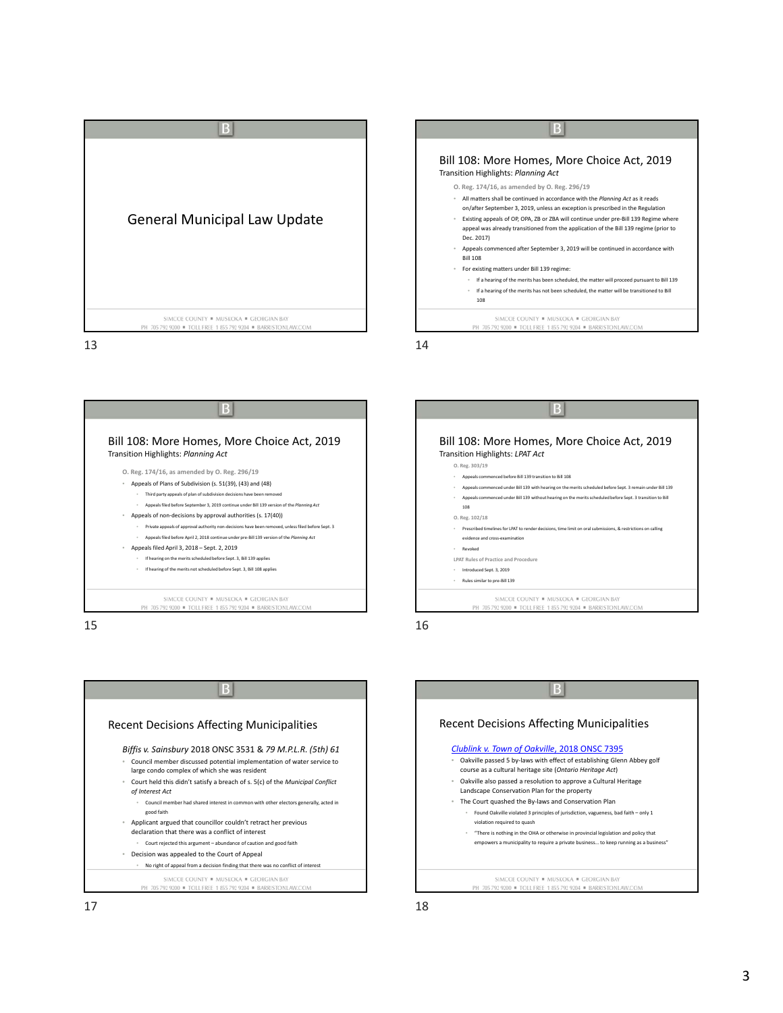

 $13$  14









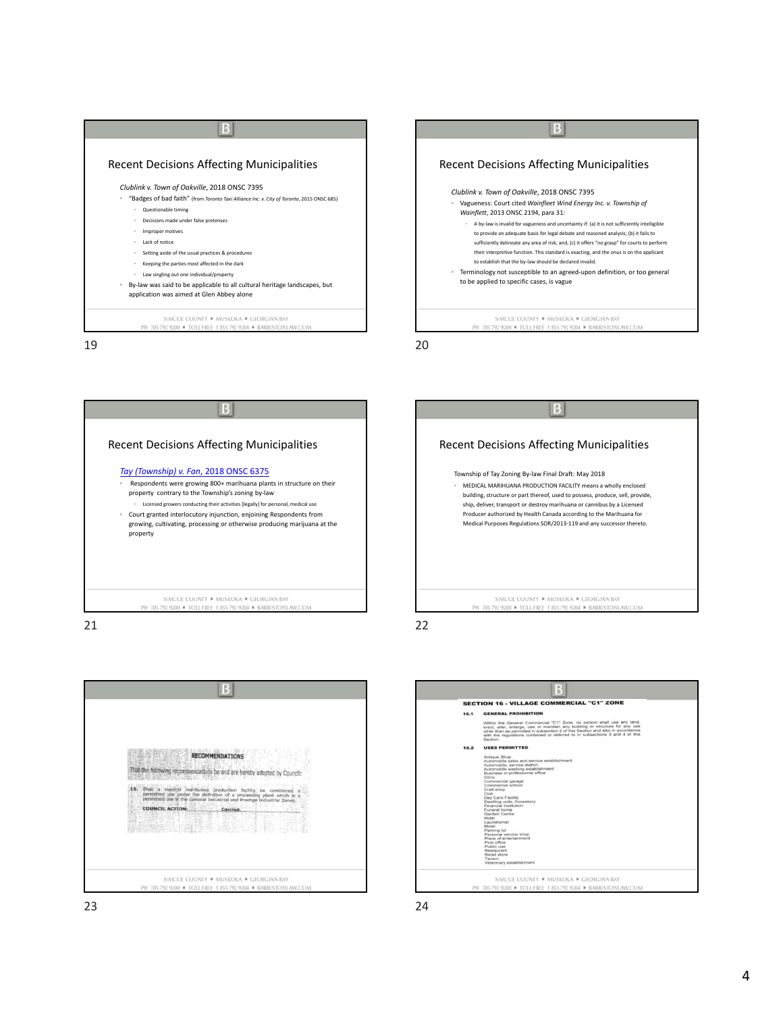| <b>Recent Decisions Affecting Municipalities</b>                                                                                                                                                                                                                                                                                                                                                                                                                                                                           | <b>Recent Decisions Affecting Municipalities</b>                                                                                                                                                                                                                                                                                                                                                                                                                                                                                                                                                                                                                                                                                  |
|----------------------------------------------------------------------------------------------------------------------------------------------------------------------------------------------------------------------------------------------------------------------------------------------------------------------------------------------------------------------------------------------------------------------------------------------------------------------------------------------------------------------------|-----------------------------------------------------------------------------------------------------------------------------------------------------------------------------------------------------------------------------------------------------------------------------------------------------------------------------------------------------------------------------------------------------------------------------------------------------------------------------------------------------------------------------------------------------------------------------------------------------------------------------------------------------------------------------------------------------------------------------------|
| Clublink v. Town of Oakville, 2018 ONSC 7395<br>"Badges of bad faith" (from Toronto Taxi Alliance Inc. v. City of Toronto, 2015 ONSC 685)<br>Questionable timing<br>Decisions made under false pretenses<br>Improper motives<br>Lack of notice<br>Setting aside of the usual practices & procedures<br>Keeping the parties most affected in the dark<br>Law singling out one individual/property<br>By-law was said to be applicable to all cultural heritage landscapes, but<br>application was aimed at Glen Abbey alone | Clublink v. Town of Oakville, 2018 ONSC 7395<br>Vagueness: Court cited Wainfleet Wind Energy Inc. v. Township of<br>Wainflett, 2013 ONSC 2194, para 31:<br>A by-law is invalid for vagueness and uncertainty if: (a) it is not sufficiently intelligible<br>to provide an adequate basis for legal debate and reasoned analysis; (b) it fails to<br>sufficiently delineate any area of risk; and, (c) it offers "no grasp" for courts to perform<br>their interpretive function. This standard is exacting, and the onus is on the applicant<br>to establish that the by-law should be declared invalid.<br>Terminology not susceptible to an agreed-upon definition, or too general<br>to be applied to specific cases, is vague |
| SIMCOE COUNTY . MUSKOKA . GEORGIAN BAY<br>PH 705 792 9200 · TOLL FREE 1 855 792 9204 · BARRISTONLAW.COM<br>19                                                                                                                                                                                                                                                                                                                                                                                                              | SIMCOE COUNTY . MUSKOKA . GEORGIAN BAY<br>PH 705 792 9200 · TOLL FREE 1 855 792 9204 · BARRISTONLAW.COM                                                                                                                                                                                                                                                                                                                                                                                                                                                                                                                                                                                                                           |

 $|B|$ Recent Decisions Affecting Municipalities *Tay (Township) v. Fan*, 2018 ONSC 6375 • Respondents were growing 800+ marihuana plants in structure on their property contrary to the Township's zoning by‐law • Licensed growers conducting their activities [legally] for personal, medical use • Court granted interlocutory injunction, enjoining Respondents from growing, cultivating, processing or otherwise producing marijuana at the property SIMCOE COUNTY = MUSKOKA = GEORGIAN BAY PH 705 792 9200 = TOLL FREE 1 855 792 9204 = BARRISTONLAW.COM





21 22

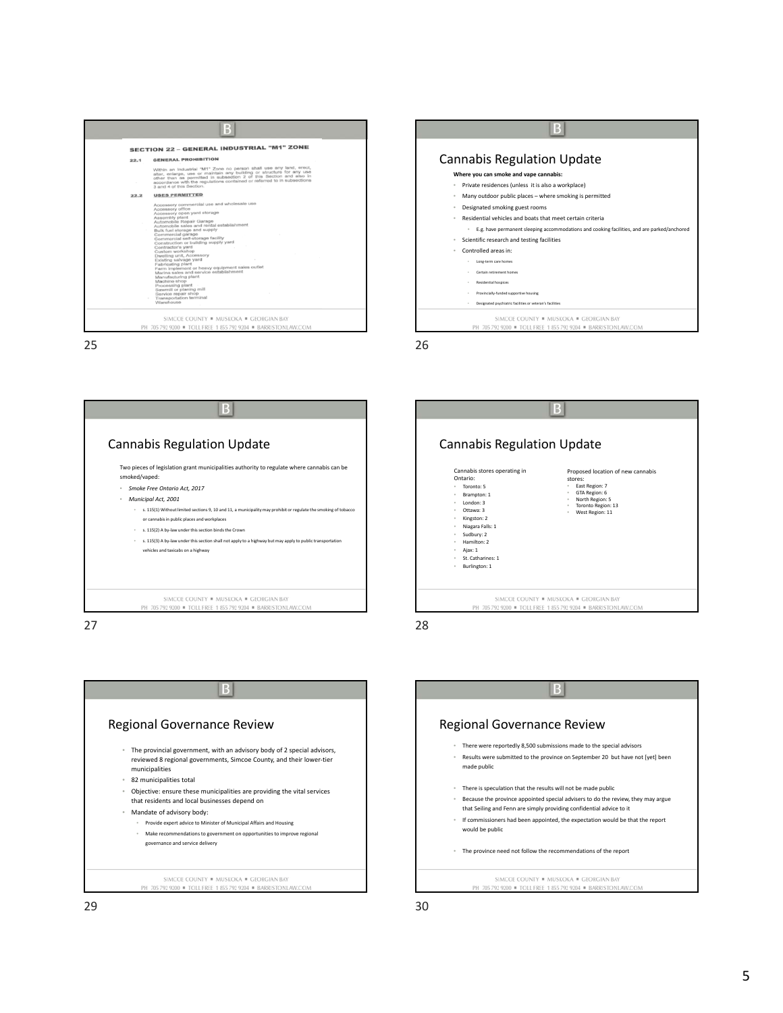|      | <b>SECTION 22 - GENERAL INDUSTRIAL "M1" ZONE</b>                                                                                                                                                                                                                                                                                                                                                                                                                                                                                                                                                                                                                                                    |
|------|-----------------------------------------------------------------------------------------------------------------------------------------------------------------------------------------------------------------------------------------------------------------------------------------------------------------------------------------------------------------------------------------------------------------------------------------------------------------------------------------------------------------------------------------------------------------------------------------------------------------------------------------------------------------------------------------------------|
| 22.1 | <b>GENERAL PROHIBITION</b>                                                                                                                                                                                                                                                                                                                                                                                                                                                                                                                                                                                                                                                                          |
|      | Within an Industrial "M1" Zone no person shall use any land, erect,<br>alter, enlarge, use or maintain any building or structure for any use<br>other than as permitted in subsection 2 of this Section and also in<br>accordance with the regulations contained or referred to in subsections<br>3 and 4 of this Section.                                                                                                                                                                                                                                                                                                                                                                          |
| 22.2 | <b>USES PERMITTED</b>                                                                                                                                                                                                                                                                                                                                                                                                                                                                                                                                                                                                                                                                               |
|      | Accessory commercial use and wholesale use<br>Accessory office<br>Accessory open yard storage<br>Assembly plant<br>Automobile Repair Garage<br>Automobile sales and rental establishment<br>Bulk fuel storage and supply<br>Commercial garage<br>Commercial self-storage facility<br>Construction or building supply yard<br>Contractor's yard<br>Custom workshop<br>Dwelling unit, Accessory<br>Existing salvage yard<br>Fabricating plant<br>Farm implement or heavy equipment sales outlet<br>Marina sales and service establishment<br>Manufacturing plant<br>Machine shop<br>Processing plant<br>Sawmill or planing mill<br>Service repair shop<br><b>Transportation terminal</b><br>Warehouse |

 $25$  25







Regional Governance Review • There were reportedly 8,500 submissions made to the special advisors • Results were submitted to the province on September 20 but have not [yet] been made public • There is speculation that the results will not be made public • Because the province appointed special advisers to do the review, they may argue that Seiling and Fenn are simply providing confidential advice to it • If commissioners had been appointed, the expectation would be that the report would be public • The province need not follow the recommendations of the report SIMCOE COUNTY \* MUSKOKA \* GEORGIAN BAY PH 705 792 9200 = TOLL FREE 1 855 792 9204 = BARRISTONLAW.COM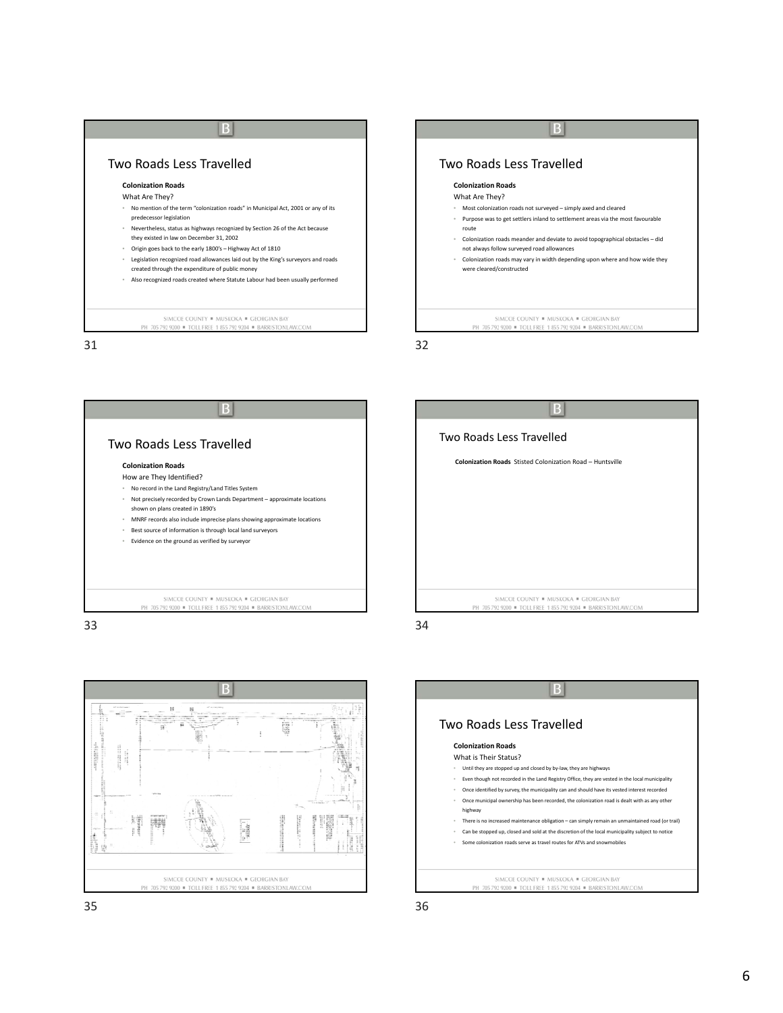| Two Roads Less Travelled                                                                                                                                                                                                                                                                                                                                                                                                                                                                                                       | Two Roads Less Travelled                                                                                                                                                                                                                                                                                                                                                                            |  |  |
|--------------------------------------------------------------------------------------------------------------------------------------------------------------------------------------------------------------------------------------------------------------------------------------------------------------------------------------------------------------------------------------------------------------------------------------------------------------------------------------------------------------------------------|-----------------------------------------------------------------------------------------------------------------------------------------------------------------------------------------------------------------------------------------------------------------------------------------------------------------------------------------------------------------------------------------------------|--|--|
| <b>Colonization Roads</b>                                                                                                                                                                                                                                                                                                                                                                                                                                                                                                      | <b>Colonization Roads</b>                                                                                                                                                                                                                                                                                                                                                                           |  |  |
| What Are They?                                                                                                                                                                                                                                                                                                                                                                                                                                                                                                                 | What Are They?                                                                                                                                                                                                                                                                                                                                                                                      |  |  |
| No mention of the term "colonization roads" in Municipal Act, 2001 or any of its<br>predecessor legislation<br>Nevertheless, status as highways recognized by Section 26 of the Act because<br>they existed in law on December 31, 2002<br>Origin goes back to the early 1800's - Highway Act of 1810<br>Legislation recognized road allowances laid out by the King's surveyors and roads<br>created through the expenditure of public money<br>Also recognized roads created where Statute Labour had been usually performed | Most colonization roads not surveyed - simply axed and cleared<br>Purpose was to get settlers inland to settlement areas via the most favourable<br>route<br>Colonization roads meander and deviate to avoid topographical obstacles - did<br>not always follow surveyed road allowances<br>Colonization roads may vary in width depending upon where and how wide they<br>were cleared/constructed |  |  |
| SIMCOE COUNTY . MUSKOKA . GEORGIAN BAY<br>PH 705 792 9200 · TOLL FREE 1 855 792 9204 · BARRISTONLAW.COM                                                                                                                                                                                                                                                                                                                                                                                                                        | SIMCOE COUNTY . MUSKOKA . GEORGIAN BAY<br>PH 705 792 9200 · TOLL FREE 1 855 792 9204 · BARRISTONLAW.COM                                                                                                                                                                                                                                                                                             |  |  |
|                                                                                                                                                                                                                                                                                                                                                                                                                                                                                                                                | 32                                                                                                                                                                                                                                                                                                                                                                                                  |  |  |



İ B 謂 i. SIMCOE COUNTY . MUSKOKA . GEORGIAN BAY PH 705 792 9200 = TOLL FREE 1 855 792 9204 = BARRISTONLAW.COM

R Two Roads Less Travelled **Colonization Roads** What is Their Status? • Until they are stopped up and closed by by‐law, they are highways • Even though not recorded in the Land Registry Office, they are vested in the local municipality • Once identified by survey, the municipality can and should have its vested interest recorded • Once municipal ownership has been recorded, the colonization road is dealt with as any other highway • There is no increased maintenance obligation – can simply remain an unmaintained road (or trail) • Can be stopped up, closed and sold at the discretion of the local municipality subject to notice • Some colonization roads serve as travel routes for ATVs and snowmobiles SIMCOE COUNTY . MUSKOKA . GEORGIAN BAY PH 705 792 9200 = TOLL FREE 1 855 792 9204 = BARRISTONLAW.COM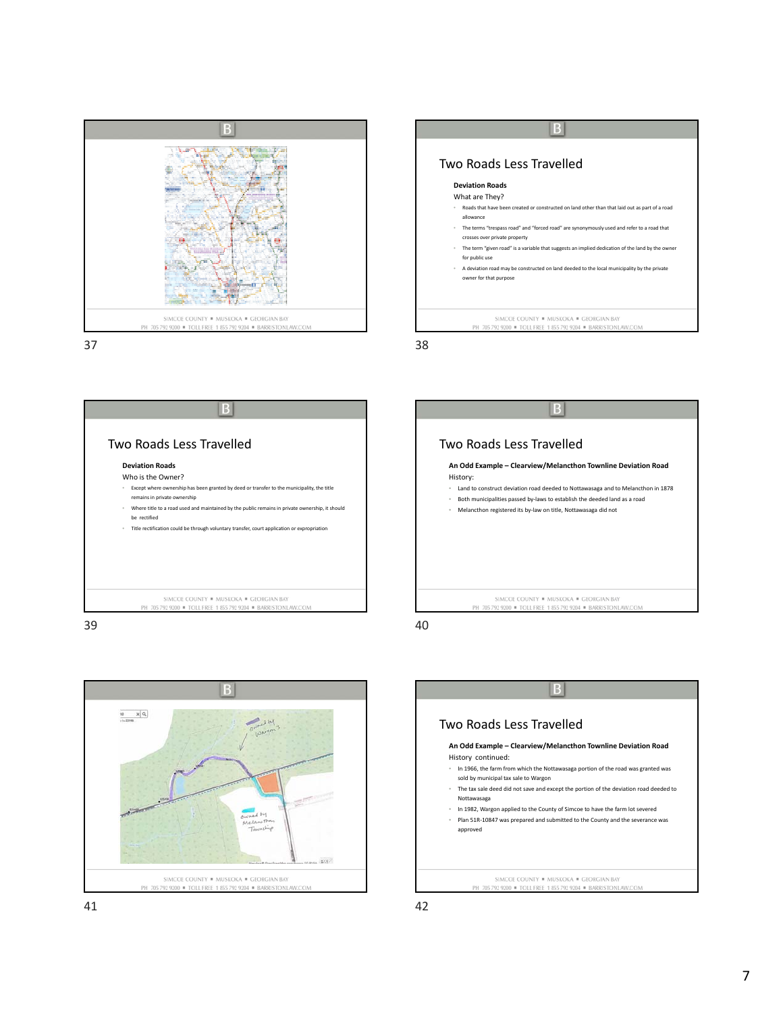

 $\vert$  B Two Roads Less Travelled **Deviation Roads** What are They? • Roads that have been created or constructed on land other than that laid out as part of a road allowance • The terms "trespass road" and "forced road" are synonymously used and refer to a road that crosses over private property • The term "given road" is a variable that suggests an implied dedication of the land by the owner for public use • A deviation road may be constructed on land deeded to the local municipality by the private owner for that purpose SIMCOE COUNTY . MUSKOKA . GEORGIAN BAY PH 705 792 9200 = TOLL FREE 1 855 792 9204 = BARRISTONLAW.COM

 $37$  38